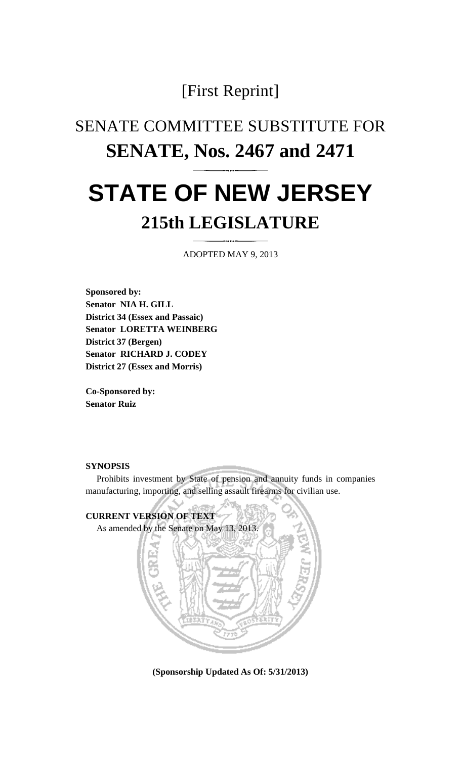### [First Reprint]

## SENATE COMMITTEE SUBSTITUTE FOR **SENATE, Nos. 2467 and 2471**

# **STATE OF NEW JERSEY 215th LEGISLATURE**

ADOPTED MAY 9, 2013

**Sponsored by: Senator NIA H. GILL District 34 (Essex and Passaic) Senator LORETTA WEINBERG District 37 (Bergen) Senator RICHARD J. CODEY District 27 (Essex and Morris)** 

**Co-Sponsored by: Senator Ruiz** 

#### **SYNOPSIS**

 Prohibits investment by State of pension and annuity funds in companies manufacturing, importing, and selling assault firearms for civilian use.



**(Sponsorship Updated As Of: 5/31/2013)**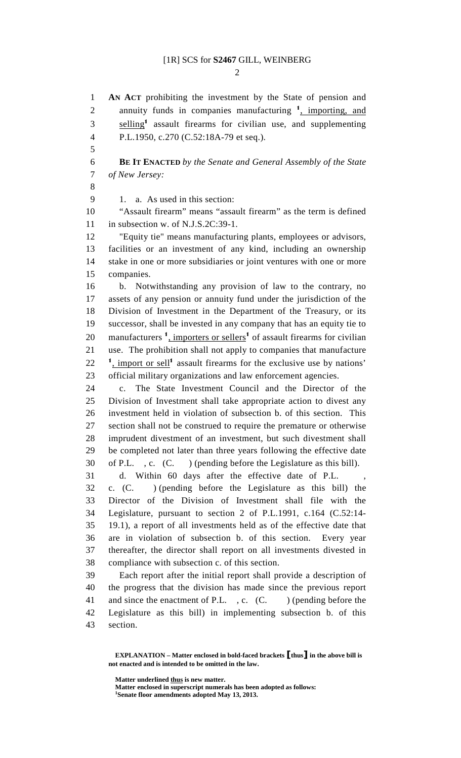$\mathcal{D}_{\mathcal{L}}$ 

1 **AN ACT** prohibiting the investment by the State of pension and 2 annuity funds in companies manufacturing  $\frac{1}{2}$ , importing, and 3 selling<sup>1</sup> assault firearms for civilian use, and supplementing 4 P.L.1950, c.270 (C.52:18A-79 et seq.). 5 6 **BE IT ENACTED** *by the Senate and General Assembly of the State*  7 *of New Jersey:* 8 9 1. a. As used in this section: 10 "Assault firearm" means "assault firearm" as the term is defined 11 in subsection w. of N.J.S.2C:39-1. 12 "Equity tie" means manufacturing plants, employees or advisors, 13 facilities or an investment of any kind, including an ownership 14 stake in one or more subsidiaries or joint ventures with one or more 15 companies. 16 b. Notwithstanding any provision of law to the contrary, no 17 assets of any pension or annuity fund under the jurisdiction of the 18 Division of Investment in the Department of the Treasury, or its 19 successor, shall be invested in any company that has an equity tie to 20 manufacturers <sup>1</sup>, importers or sellers<sup>1</sup> of assault firearms for civilian 21 use. The prohibition shall not apply to companies that manufacture  $22 \frac{1}{2}$ , import or sell<sup>1</sup> assault firearms for the exclusive use by nations' 23 official military organizations and law enforcement agencies. 24 c. The State Investment Council and the Director of the 25 Division of Investment shall take appropriate action to divest any 26 investment held in violation of subsection b. of this section. This 27 section shall not be construed to require the premature or otherwise 28 imprudent divestment of an investment, but such divestment shall 29 be completed not later than three years following the effective date 30 of P.L. , c. (C. ) (pending before the Legislature as this bill). 31 d. Within 60 days after the effective date of P.L. , 32 c. (C. ) (pending before the Legislature as this bill) the 33 Director of the Division of Investment shall file with the 34 Legislature, pursuant to section 2 of P.L.1991, c.164 (C.52:14- 35 19.1), a report of all investments held as of the effective date that 36 are in violation of subsection b. of this section. Every year 37 thereafter, the director shall report on all investments divested in 38 compliance with subsection c. of this section. 39 Each report after the initial report shall provide a description of 40 the progress that the division has made since the previous report 41 and since the enactment of P.L., c. (C. ) (pending before the 42 Legislature as this bill) in implementing subsection b. of this 43 section.

 **Matter underlined thus is new matter.** 

 **Matter enclosed in superscript numerals has been adopted as follows: 1 Senate floor amendments adopted May 13, 2013.** 

**EXPLANATION – Matter enclosed in bold-faced brackets** [**thus**] **in the above bill is not enacted and is intended to be omitted in the law.**